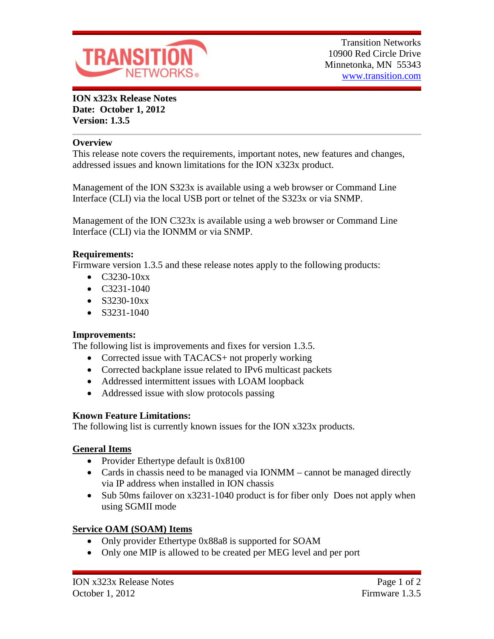

**ION x323x Release Notes Date: October 1, 2012 Version: 1.3.5**

### **Overview**

This release note covers the requirements, important notes, new features and changes, addressed issues and known limitations for the ION x323x product.

Management of the ION S323x is available using a web browser or Command Line Interface (CLI) via the local USB port or telnet of the S323x or via SNMP.

Management of the ION C323x is available using a web browser or Command Line Interface (CLI) via the IONMM or via SNMP.

## **Requirements:**

Firmware version 1.3.5 and these release notes apply to the following products:

- $C3230-10xx$
- C3231-1040
- $S3230-10xx$
- $\bullet$  S3231-1040

## **Improvements:**

The following list is improvements and fixes for version 1.3.5.

- Corrected issue with TACACS+ not properly working
- Corrected backplane issue related to IPv6 multicast packets
- Addressed intermittent issues with LOAM loopback
- Addressed issue with slow protocols passing

## **Known Feature Limitations:**

The following list is currently known issues for the ION x323x products.

## **General Items**

- Provider Ethertype default is 0x8100
- Cards in chassis need to be managed via IONMM cannot be managed directly via IP address when installed in ION chassis
- Sub 50ms failover on x3231-1040 product is for fiber only Does not apply when using SGMII mode

## **Service OAM (SOAM) Items**

- Only provider Ethertype 0x88a8 is supported for SOAM
- Only one MIP is allowed to be created per MEG level and per port